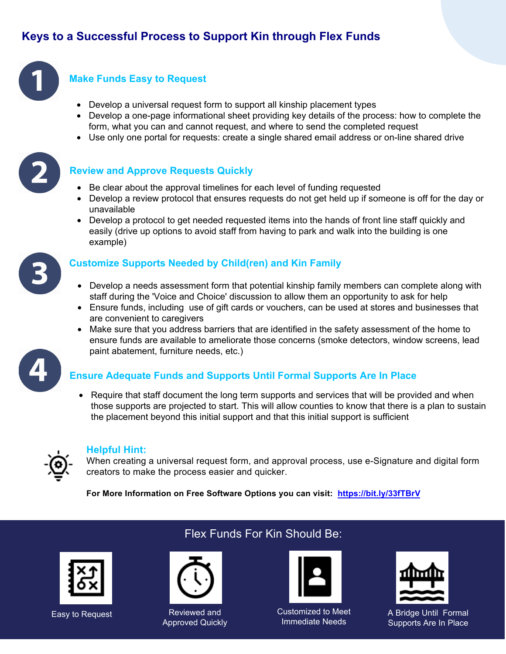# **Keys to a Successful Process to Support Kin through Flex Funds**



### **Make Funds Easy to Request**

- Develop a universal request form to support all kinship placement types
- Develop a one-page informational sheet providing key details of the process: how to complete the form, what you can and cannot request, and where to send the completed request
- Use only one portal for requests: create a single shared email address or on-line shared drive



#### **Review and Approve Requests Quickly**

- Be clear about the approval timelines for each level of funding requested
- Develop a review protocol that ensures requests do not get held up if someone is off for the day or unavailable
- Develop a protocol to get needed requested items into the hands of front line staff quickly and easily (drive up options to avoid staff from having to park and walk into the building is one example)



### **Customize Supports Needed by Child(ren) and Kin Family**

- Develop a needs assessment form that potential kinship family members can complete along with staff during the 'Voice and Choice' discussion to allow them an opportunity to ask for help
- Ensure funds, including use of gift cards or vouchers, can be used at stores and businesses that are convenient to caregivers
- Make sure that you address barriers that are identified in the safety assessment of the home to ensure funds are available to ameliorate those concerns (smoke detectors, window screens, lead paint abatement, furniture needs, etc.)



• Require that staff document the long term supports and services that will be provided and when those supports are projected to start. This will allow counties to know that there is a plan to sustain the placement beyond this initial support and that this initial support is sufficient



#### **Helpful Hint:**

When creating a universal request form, and approval process, use e-Signature and digital form creators to make the process easier and quicker.

**For More Information on Free Software Options you can visit: <https://bit.ly/33fTBrV>**



## Flex Funds For Kin Should Be:



Easy to Request **Reviewed** and Approved Quickly



Customized to Meet Immediate Needs



A Bridge Until Formal Supports Are In Place

2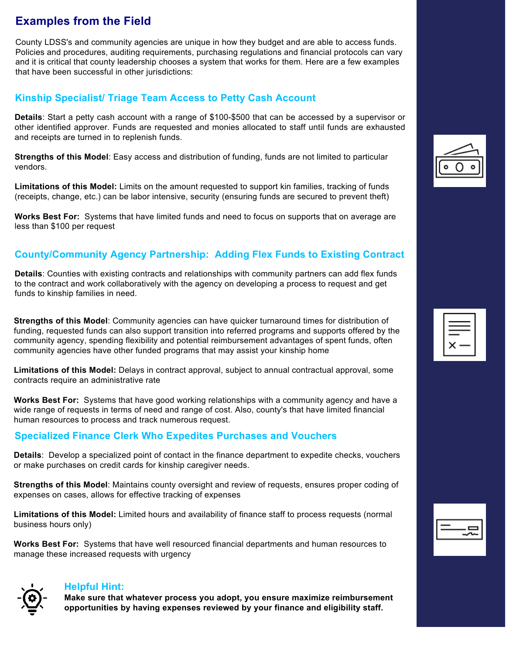# **Examples from the Field**

County LDSS's and community agencies are unique in how they budget and are able to access funds. Policies and procedures, auditing requirements, purchasing regulations and financial protocols can vary and it is critical that county leadership chooses a system that works for them. Here are a few examples that have been successful in other jurisdictions:

### **Kinship Specialist/ Triage Team Access to Petty Cash Account**

**Details**: Start a petty cash account with a range of \$100-\$500 that can be accessed by a supervisor or other identified approver. Funds are requested and monies allocated to staff until funds are exhausted and receipts are turned in to replenish funds.

**Strengths of this Model**: Easy access and distribution of funding, funds are not limited to particular vendors.

**Limitations of this Model:** Limits on the amount requested to support kin families, tracking of funds (receipts, change, etc.) can be labor intensive, security (ensuring funds are secured to prevent theft)

**Works Best For:** Systems that have limited funds and need to focus on supports that on average are less than \$100 per request

## **County/Community Agency Partnership: Adding Flex Funds to Existing Contract**

**Details**: Counties with existing contracts and relationships with community partners can add flex funds to the contract and work collaboratively with the agency on developing a process to request and get funds to kinship families in need.

**Strengths of this Model**: Community agencies can have quicker turnaround times for distribution of funding, requested funds can also support transition into referred programs and supports offered by the community agency, spending flexibility and potential reimbursement advantages of spent funds, often community agencies have other funded programs that may assist your kinship home

**Limitations of this Model:** Delays in contract approval, subject to annual contractual approval, some contracts require an administrative rate

**Works Best For:** Systems that have good working relationships with a community agency and have a wide range of requests in terms of need and range of cost. Also, county's that have limited financial human resources to process and track numerous request.

### **Specialized Finance Clerk Who Expedites Purchases and Vouchers**

**Details**: Develop a specialized point of contact in the finance department to expedite checks, vouchers or make purchases on credit cards for kinship caregiver needs.

**Strengths of this Model**: Maintains county oversight and review of requests, ensures proper coding of expenses on cases, allows for effective tracking of expenses

**Limitations of this Model:** Limited hours and availability of finance staff to process requests (normal business hours only)

**Works Best For:** Systems that have well resourced financial departments and human resources to manage these increased requests with urgency



#### **Helpful Hint:**

**Make sure that whatever process you adopt, you ensure maximize reimbursement opportunities by having expenses reviewed by your finance and eligibility staff.** 



| ٠. |
|----|
|    |